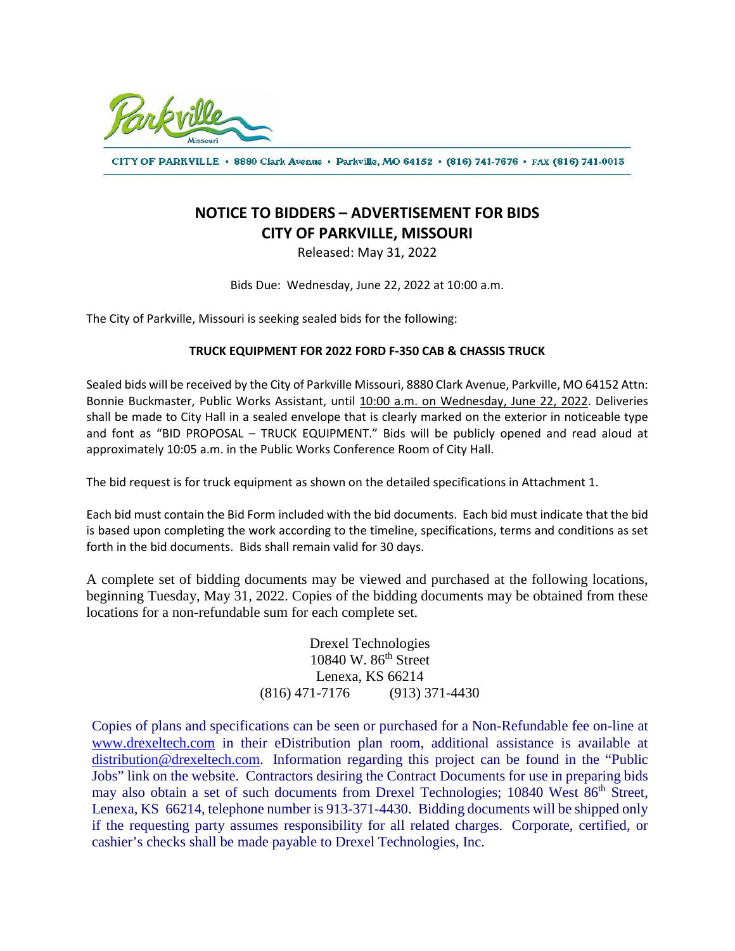

CITY OF PARKVILLE · 8880 Clark Avenue · Parkville, MO 64152 · (816) 741-7676 · FAX (816) 741-0013

## **NOTICE TO BIDDERS – ADVERTISEMENT FOR BIDS CITY OF PARKVILLE, MISSOURI**

Released: May 31, 2022

Bids Due: Wednesday, June 22, 2022 at 10:00 a.m.

The City of Parkville, Missouri is seeking sealed bids for the following:

## **TRUCK EQUIPMENT FOR 2022 FORD F-350 CAB & CHASSIS TRUCK**

Sealed bids will be received by the City of Parkville Missouri, 8880 Clark Avenue, Parkville, MO 64152 Attn: Bonnie Buckmaster, Public Works Assistant, until 10:00 a.m. on Wednesday, June 22, 2022. Deliveries shall be made to City Hall in a sealed envelope that is clearly marked on the exterior in noticeable type and font as "BID PROPOSAL – TRUCK EQUIPMENT." Bids will be publicly opened and read aloud at approximately 10:05 a.m. in the Public Works Conference Room of City Hall.

The bid request is for truck equipment as shown on the detailed specifications in Attachment 1.

Each bid must contain the Bid Form included with the bid documents. Each bid must indicate that the bid is based upon completing the work according to the timeline, specifications, terms and conditions as set forth in the bid documents. Bids shall remain valid for 30 days.

A complete set of bidding documents may be viewed and purchased at the following locations, beginning Tuesday, May 31, 2022. Copies of the bidding documents may be obtained from these locations for a non-refundable sum for each complete set.

> Drexel Technologies 10840 W. 86th Street Lenexa, KS 66214 (816) 471-7176 (913) 371-4430

Copies of plans and specifications can be seen or purchased for a Non-Refundable fee on-line at [www.drexeltech.com](http://www.drexeltech.com/) in their eDistribution plan room, additional assistance is available at [distribution@drexeltech.com.](mailto:distribution@drexeltech.com) Information regarding this project can be found in the "Public Jobs" link on the website. Contractors desiring the Contract Documents for use in preparing bids may also obtain a set of such documents from Drexel Technologies; 10840 West 86<sup>th</sup> Street, Lenexa, KS 66214, telephone number is 913-371-4430. Bidding documents will be shipped only if the requesting party assumes responsibility for all related charges. Corporate, certified, or cashier's checks shall be made payable to Drexel Technologies, Inc.